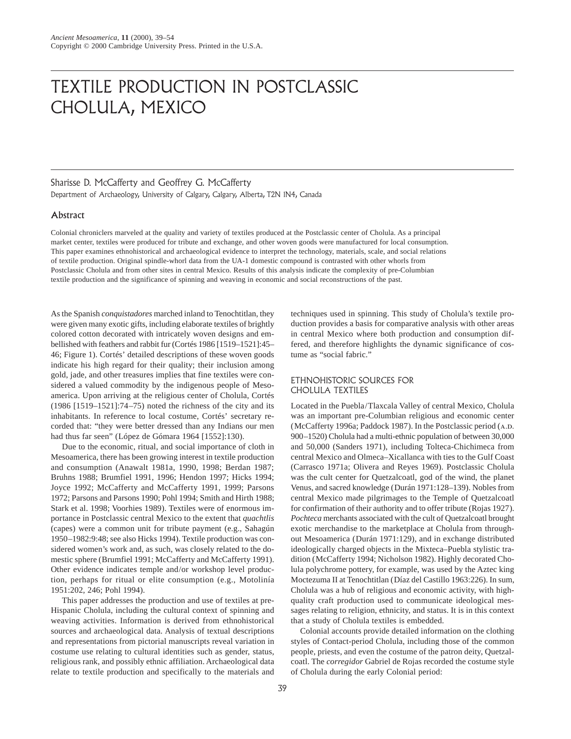# TEXTILE PRODUCTION IN POSTCLASSIC CHOLULA, MEXICO

## Sharisse D. McCafferty and Geoffrey G. McCafferty

Department of Archaeology, University of Calgary, Calgary, Alberta, T2N 1N4, Canada

## Abstract

Colonial chroniclers marveled at the quality and variety of textiles produced at the Postclassic center of Cholula. As a principal market center, textiles were produced for tribute and exchange, and other woven goods were manufactured for local consumption. This paper examines ethnohistorical and archaeological evidence to interpret the technology, materials, scale, and social relations of textile production. Original spindle-whorl data from the UA-1 domestic compound is contrasted with other whorls from Postclassic Cholula and from other sites in central Mexico. Results of this analysis indicate the complexity of pre-Columbian textile production and the significance of spinning and weaving in economic and social reconstructions of the past.

As the Spanish *conquistadores* marched inland to Tenochtitlan, they were given many exotic gifts, including elaborate textiles of brightly colored cotton decorated with intricately woven designs and embellished with feathers and rabbit fur (Cortés 1986 [1519–1521]:45– 46; Figure 1). Cortés' detailed descriptions of these woven goods indicate his high regard for their quality; their inclusion among gold, jade, and other treasures implies that fine textiles were considered a valued commodity by the indigenous people of Mesoamerica. Upon arriving at the religious center of Cholula, Cortés (1986 [1519–1521]:74–75) noted the richness of the city and its inhabitants. In reference to local costume, Cortés' secretary recorded that: "they were better dressed than any Indians our men had thus far seen" (López de Gómara 1964 [1552]:130).

Due to the economic, ritual, and social importance of cloth in Mesoamerica, there has been growing interest in textile production and consumption (Anawalt 1981a, 1990, 1998; Berdan 1987; Bruhns 1988; Brumfiel 1991, 1996; Hendon 1997; Hicks 1994; Joyce 1992; McCafferty and McCafferty 1991, 1999; Parsons 1972; Parsons and Parsons 1990; Pohl 1994; Smith and Hirth 1988; Stark et al. 1998; Voorhies 1989). Textiles were of enormous importance in Postclassic central Mexico to the extent that *quachtlis* (capes) were a common unit for tribute payment (e.g., Sahagún 1950–1982:9:48; see also Hicks 1994). Textile production was considered women's work and, as such, was closely related to the domestic sphere (Brumfiel 1991; McCafferty and McCafferty 1991). Other evidence indicates temple and/or workshop level production, perhaps for ritual or elite consumption (e.g., Motolinía 1951:202, 246; Pohl 1994).

This paper addresses the production and use of textiles at pre-Hispanic Cholula, including the cultural context of spinning and weaving activities. Information is derived from ethnohistorical sources and archaeological data. Analysis of textual descriptions and representations from pictorial manuscripts reveal variation in costume use relating to cultural identities such as gender, status, religious rank, and possibly ethnic affiliation. Archaeological data relate to textile production and specifically to the materials and

techniques used in spinning. This study of Cholula's textile production provides a basis for comparative analysis with other areas in central Mexico where both production and consumption differed, and therefore highlights the dynamic significance of costume as "social fabric."

## ETHNOHISTORIC SOURCES FOR CHOLULA TEXTILES

Located in the Puebla/Tlaxcala Valley of central Mexico, Cholula was an important pre-Columbian religious and economic center (McCafferty 1996a; Paddock 1987). In the Postclassic period (A.D. 900–1520) Cholula had a multi-ethnic population of between 30,000 and 50,000 (Sanders 1971), including Tolteca-Chichimeca from central Mexico and Olmeca–Xicallanca with ties to the Gulf Coast (Carrasco 1971a; Olivera and Reyes 1969). Postclassic Cholula was the cult center for Quetzalcoatl, god of the wind, the planet Venus, and sacred knowledge (Durán 1971:128–139). Nobles from central Mexico made pilgrimages to the Temple of Quetzalcoatl for confirmation of their authority and to offer tribute (Rojas 1927). *Pochteca* merchants associated with the cult of Quetzalcoatl brought exotic merchandise to the marketplace at Cholula from throughout Mesoamerica (Durán 1971:129), and in exchange distributed ideologically charged objects in the Mixteca–Puebla stylistic tradition (McCafferty 1994; Nicholson 1982). Highly decorated Cholula polychrome pottery, for example, was used by the Aztec king Moctezuma II at Tenochtitlan (Díaz del Castillo 1963:226). In sum, Cholula was a hub of religious and economic activity, with highquality craft production used to communicate ideological messages relating to religion, ethnicity, and status. It is in this context that a study of Cholula textiles is embedded.

Colonial accounts provide detailed information on the clothing styles of Contact-period Cholula, including those of the common people, priests, and even the costume of the patron deity, Quetzalcoatl. The *corregidor* Gabriel de Rojas recorded the costume style of Cholula during the early Colonial period: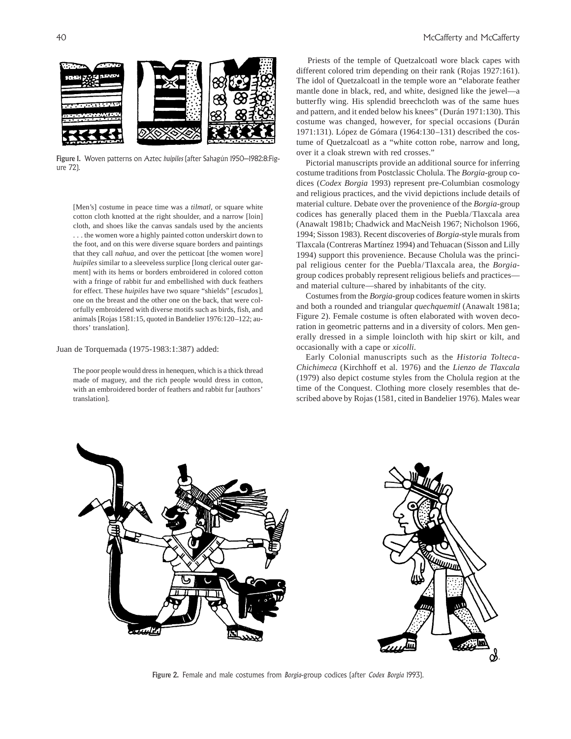

Figure 1. Woven patterns on Aztec *huipiles* (after Sahagún 1950–1982:8:Figure 72).

[Men's] costume in peace time was a *tilmatl*, or square white cotton cloth knotted at the right shoulder, and a narrow [loin] cloth, and shoes like the canvas sandals used by the ancients . . . the women wore a highly painted cotton underskirt down to the foot, and on this were diverse square borders and paintings that they call *nahua*, and over the petticoat [the women wore] *huipiles* similar to a sleeveless surplice [long clerical outer garment] with its hems or borders embroidered in colored cotton with a fringe of rabbit fur and embellished with duck feathers for effect. These *huipiles* have two square "shields" [*escudos*], one on the breast and the other one on the back, that were colorfully embroidered with diverse motifs such as birds, fish, and animals [Rojas 1581:15, quoted in Bandelier 1976:120–122; authors' translation].

#### Juan de Torquemada (1975-1983:1:387) added:

The poor people would dress in henequen, which is a thick thread made of maguey, and the rich people would dress in cotton, with an embroidered border of feathers and rabbit fur [authors' translation].

Priests of the temple of Quetzalcoatl wore black capes with different colored trim depending on their rank (Rojas 1927:161). The idol of Quetzalcoatl in the temple wore an "elaborate feather mantle done in black, red, and white, designed like the jewel—a butterfly wing. His splendid breechcloth was of the same hues and pattern, and it ended below his knees" (Durán 1971:130). This costume was changed, however, for special occasions (Durán 1971:131). López de Gómara (1964:130–131) described the costume of Quetzalcoatl as a "white cotton robe, narrow and long, over it a cloak strewn with red crosses."

Pictorial manuscripts provide an additional source for inferring costume traditions from Postclassic Cholula. The *Borgia*-group codices (*Codex Borgia* 1993) represent pre-Columbian cosmology and religious practices, and the vivid depictions include details of material culture. Debate over the provenience of the *Borgia*-group codices has generally placed them in the Puebla/Tlaxcala area (Anawalt 1981b; Chadwick and MacNeish 1967; Nicholson 1966, 1994; Sisson 1983). Recent discoveries of *Borgia*-style murals from Tlaxcala (Contreras Martínez 1994) and Tehuacan (Sisson and Lilly 1994) support this provenience. Because Cholula was the principal religious center for the Puebla/Tlaxcala area, the *Borgia*group codices probably represent religious beliefs and practices and material culture—shared by inhabitants of the city.

Costumes from the *Borgia*-group codices feature women in skirts and both a rounded and triangular *quechquemitl* (Anawalt 1981a; Figure 2). Female costume is often elaborated with woven decoration in geometric patterns and in a diversity of colors. Men generally dressed in a simple loincloth with hip skirt or kilt, and occasionally with a cape or *xicolli*.

Early Colonial manuscripts such as the *Historia Tolteca-Chichimeca* (Kirchhoff et al. 1976) and the *Lienzo de Tlaxcala* (1979) also depict costume styles from the Cholula region at the time of the Conquest. Clothing more closely resembles that described above by Rojas (1581, cited in Bandelier 1976). Males wear



Figure 2. Female and male costumes from *Borgia*-group codices (after *Codex Borgia* 1993).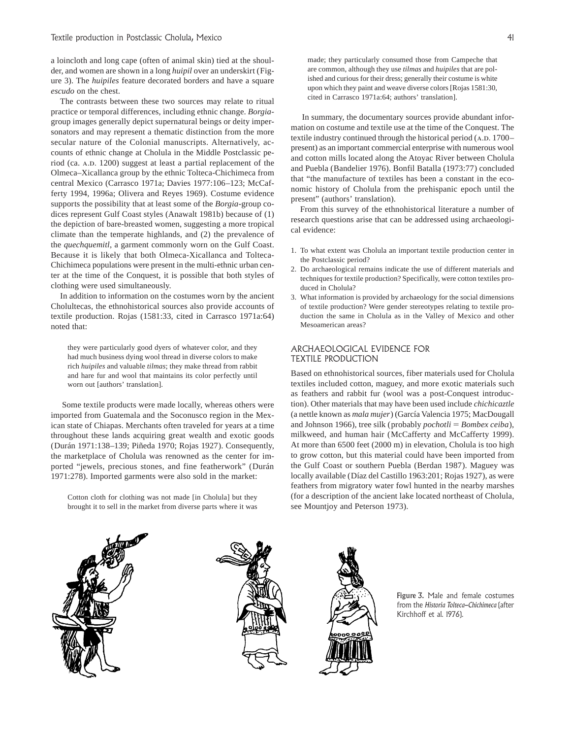a loincloth and long cape (often of animal skin) tied at the shoulder, and women are shown in a long *huipil* over an underskirt (Figure 3). The *huipiles* feature decorated borders and have a square *escudo* on the chest.

The contrasts between these two sources may relate to ritual practice or temporal differences, including ethnic change. *Borgia*group images generally depict supernatural beings or deity impersonators and may represent a thematic distinction from the more secular nature of the Colonial manuscripts. Alternatively, accounts of ethnic change at Cholula in the Middle Postclassic period (ca. A.D. 1200) suggest at least a partial replacement of the Olmeca–Xicallanca group by the ethnic Tolteca-Chichimeca from central Mexico (Carrasco 1971a; Davies 1977:106–123; McCafferty 1994, 1996a; Olivera and Reyes 1969). Costume evidence supports the possibility that at least some of the *Borgia*-group codices represent Gulf Coast styles (Anawalt 1981b) because of (1) the depiction of bare-breasted women, suggesting a more tropical climate than the temperate highlands, and (2) the prevalence of the *quechquemitl*, a garment commonly worn on the Gulf Coast. Because it is likely that both Olmeca-Xicallanca and Tolteca-Chichimeca populations were present in the multi-ethnic urban center at the time of the Conquest, it is possible that both styles of clothing were used simultaneously.

In addition to information on the costumes worn by the ancient Cholultecas, the ethnohistorical sources also provide accounts of textile production. Rojas (1581:33, cited in Carrasco 1971a:64) noted that:

they were particularly good dyers of whatever color, and they had much business dying wool thread in diverse colors to make rich *huipiles* and valuable *tilmas*; they make thread from rabbit and hare fur and wool that maintains its color perfectly until worn out [authors' translation].

Some textile products were made locally, whereas others were imported from Guatemala and the Soconusco region in the Mexican state of Chiapas. Merchants often traveled for years at a time throughout these lands acquiring great wealth and exotic goods (Durán 1971:138–139; Piñeda 1970; Rojas 1927). Consequently, the marketplace of Cholula was renowned as the center for imported "jewels, precious stones, and fine featherwork" (Durán 1971:278). Imported garments were also sold in the market:

Cotton cloth for clothing was not made [in Cholula] but they brought it to sell in the market from diverse parts where it was

made; they particularly consumed those from Campeche that are common, although they use *tilmas* and *huipiles* that are polished and curious for their dress; generally their costume is white upon which they paint and weave diverse colors [Rojas 1581:30, cited in Carrasco 1971a:64; authors' translation].

In summary, the documentary sources provide abundant information on costume and textile use at the time of the Conquest. The textile industry continued through the historical period (A.D. 1700– present) as an important commercial enterprise with numerous wool and cotton mills located along the Atoyac River between Cholula and Puebla (Bandelier 1976). Bonfil Batalla (1973:77) concluded that "the manufacture of textiles has been a constant in the economic history of Cholula from the prehispanic epoch until the present" (authors' translation).

From this survey of the ethnohistorical literature a number of research questions arise that can be addressed using archaeological evidence:

- 1. To what extent was Cholula an important textile production center in the Postclassic period?
- 2. Do archaeological remains indicate the use of different materials and techniques for textile production? Specifically, were cotton textiles produced in Cholula?
- 3. What information is provided by archaeology for the social dimensions of textile production? Were gender stereotypes relating to textile production the same in Cholula as in the Valley of Mexico and other Mesoamerican areas?

## ARCHAEOLOGICAL EVIDENCE FOR TEXTILE PRODUCTION

Based on ethnohistorical sources, fiber materials used for Cholula textiles included cotton, maguey, and more exotic materials such as feathers and rabbit fur (wool was a post-Conquest introduction). Other materials that may have been used include *chichicaztle* (a nettle known as *mala mujer*) (García Valencia 1975; MacDougall and Johnson 1966), tree silk (probably *pochotli* = *Bombex ceiba*), milkweed, and human hair (McCafferty and McCafferty 1999). At more than 6500 feet (2000 m) in elevation, Cholula is too high to grow cotton, but this material could have been imported from the Gulf Coast or southern Puebla (Berdan 1987). Maguey was locally available (Díaz del Castillo 1963:201; Rojas 1927), as were feathers from migratory water fowl hunted in the nearby marshes (for a description of the ancient lake located northeast of Cholula, see Mountjoy and Peterson 1973).



Figure 3. Male and female costumes from the *Historia Tolteca-Chichimeca* (after Kirchhoff et al. 1976).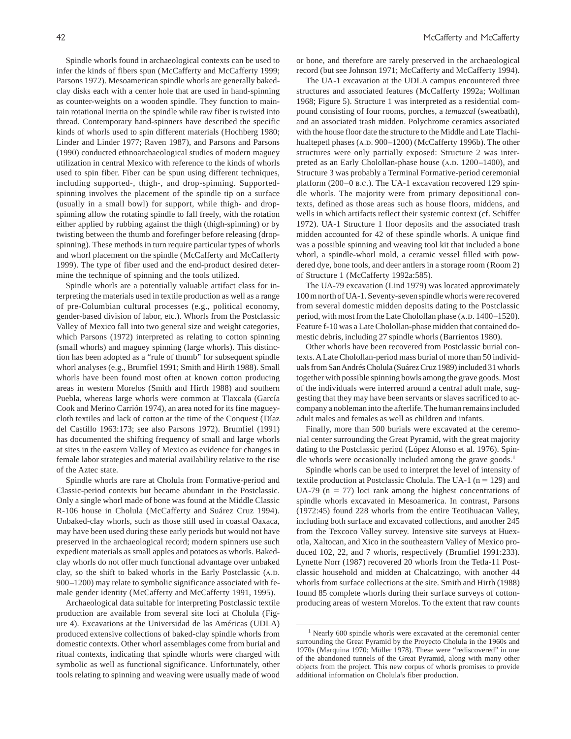Spindle whorls found in archaeological contexts can be used to infer the kinds of fibers spun (McCafferty and McCafferty 1999; Parsons 1972). Mesoamerican spindle whorls are generally bakedclay disks each with a center hole that are used in hand-spinning as counter-weights on a wooden spindle. They function to maintain rotational inertia on the spindle while raw fiber is twisted into thread. Contemporary hand-spinners have described the specific kinds of whorls used to spin different materials (Hochberg 1980; Linder and Linder 1977; Raven 1987), and Parsons and Parsons (1990) conducted ethnoarchaeological studies of modern maguey utilization in central Mexico with reference to the kinds of whorls used to spin fiber. Fiber can be spun using different techniques, including supported-, thigh-, and drop-spinning. Supportedspinning involves the placement of the spindle tip on a surface (usually in a small bowl) for support, while thigh- and dropspinning allow the rotating spindle to fall freely, with the rotation either applied by rubbing against the thigh (thigh-spinning) or by twisting between the thumb and forefinger before releasing (dropspinning). These methods in turn require particular types of whorls and whorl placement on the spindle (McCafferty and McCafferty 1999). The type of fiber used and the end-product desired determine the technique of spinning and the tools utilized.

Spindle whorls are a potentially valuable artifact class for interpreting the materials used in textile production as well as a range of pre-Columbian cultural processes (e.g., political economy, gender-based division of labor, etc.). Whorls from the Postclassic Valley of Mexico fall into two general size and weight categories, which Parsons (1972) interpreted as relating to cotton spinning (small whorls) and maguey spinning (large whorls). This distinction has been adopted as a "rule of thumb" for subsequent spindle whorl analyses (e.g., Brumfiel 1991; Smith and Hirth 1988). Small whorls have been found most often at known cotton producing areas in western Morelos (Smith and Hirth 1988) and southern Puebla, whereas large whorls were common at Tlaxcala (García Cook and Merino Carrión 1974), an area noted for its fine magueycloth textiles and lack of cotton at the time of the Conquest (Díaz del Castillo 1963:173; see also Parsons 1972). Brumfiel (1991) has documented the shifting frequency of small and large whorls at sites in the eastern Valley of Mexico as evidence for changes in female labor strategies and material availability relative to the rise of the Aztec state.

Spindle whorls are rare at Cholula from Formative-period and Classic-period contexts but became abundant in the Postclassic. Only a single whorl made of bone was found at the Middle Classic R-106 house in Cholula (McCafferty and Suárez Cruz 1994). Unbaked-clay whorls, such as those still used in coastal Oaxaca, may have been used during these early periods but would not have preserved in the archaeological record; modern spinners use such expedient materials as small apples and potatoes as whorls. Bakedclay whorls do not offer much functional advantage over unbaked clay, so the shift to baked whorls in the Early Postclassic (A.D. 900–1200) may relate to symbolic significance associated with female gender identity (McCafferty and McCafferty 1991, 1995).

Archaeological data suitable for interpreting Postclassic textile production are available from several site loci at Cholula (Figure 4). Excavations at the Universidad de las Américas (UDLA) produced extensive collections of baked-clay spindle whorls from domestic contexts. Other whorl assemblages come from burial and ritual contexts, indicating that spindle whorls were charged with symbolic as well as functional significance. Unfortunately, other tools relating to spinning and weaving were usually made of wood or bone, and therefore are rarely preserved in the archaeological record (but see Johnson 1971; McCafferty and McCafferty 1994).

The UA-1 excavation at the UDLA campus encountered three structures and associated features (McCafferty 1992a; Wolfman 1968; Figure 5). Structure 1 was interpreted as a residential compound consisting of four rooms, porches, a *temazcal* (sweatbath), and an associated trash midden. Polychrome ceramics associated with the house floor date the structure to the Middle and Late Tlachihualtepetl phases (A.D. 900–1200) (McCafferty 1996b). The other structures were only partially exposed: Structure 2 was interpreted as an Early Cholollan-phase house (A.D. 1200–1400), and Structure 3 was probably a Terminal Formative-period ceremonial platform (200–0 b.c.). The UA-1 excavation recovered 129 spindle whorls. The majority were from primary depositional contexts, defined as those areas such as house floors, middens, and wells in which artifacts reflect their systemic context (cf. Schiffer 1972). UA-1 Structure 1 floor deposits and the associated trash midden accounted for 42 of these spindle whorls. A unique find was a possible spinning and weaving tool kit that included a bone whorl, a spindle-whorl mold, a ceramic vessel filled with powdered dye, bone tools, and deer antlers in a storage room (Room 2) of Structure 1 (McCafferty 1992a:585).

The UA-79 excavation (Lind 1979) was located approximately 100 m north of UA-1. Seventy-seven spindle whorls were recovered from several domestic midden deposits dating to the Postclassic period, with most from the Late Cholollan phase (A.D. 1400–1520). Feature f-10 was a Late Cholollan-phase midden that contained domestic debris, including 27 spindle whorls (Barrientos 1980).

Other whorls have been recovered from Postclassic burial contexts.ALate Cholollan-period mass burial of more than 50 individuals from SanAndrés Cholula (Suárez Cruz 1989) included 31 whorls together with possible spinning bowls among the grave goods. Most of the individuals were interred around a central adult male, suggesting that they may have been servants or slaves sacrificed to accompany a nobleman into the afterlife. The human remains included adult males and females as well as children and infants.

Finally, more than 500 burials were excavated at the ceremonial center surrounding the Great Pyramid, with the great majority dating to the Postclassic period (López Alonso et al. 1976). Spindle whorls were occasionally included among the grave goods. $<sup>1</sup>$ </sup>

Spindle whorls can be used to interpret the level of intensity of textile production at Postclassic Cholula. The UA-1 ( $n = 129$ ) and UA-79 ( $n = 77$ ) loci rank among the highest concentrations of spindle whorls excavated in Mesoamerica. In contrast, Parsons (1972:45) found 228 whorls from the entire Teotihuacan Valley, including both surface and excavated collections, and another 245 from the Texcoco Valley survey. Intensive site surveys at Huexotla, Xaltocan, and Xico in the southeastern Valley of Mexico produced 102, 22, and 7 whorls, respectively (Brumfiel 1991:233). Lynette Norr (1987) recovered 20 whorls from the Tetla-11 Postclassic household and midden at Chalcatzingo, with another 44 whorls from surface collections at the site. Smith and Hirth (1988) found 85 complete whorls during their surface surveys of cottonproducing areas of western Morelos. To the extent that raw counts

<sup>&</sup>lt;sup>1</sup> Nearly 600 spindle whorls were excavated at the ceremonial center surrounding the Great Pyramid by the Proyecto Cholula in the 1960s and 1970s (Marquina 1970; Müller 1978). These were "rediscovered" in one of the abandoned tunnels of the Great Pyramid, along with many other objects from the project. This new corpus of whorls promises to provide additional information on Cholula's fiber production.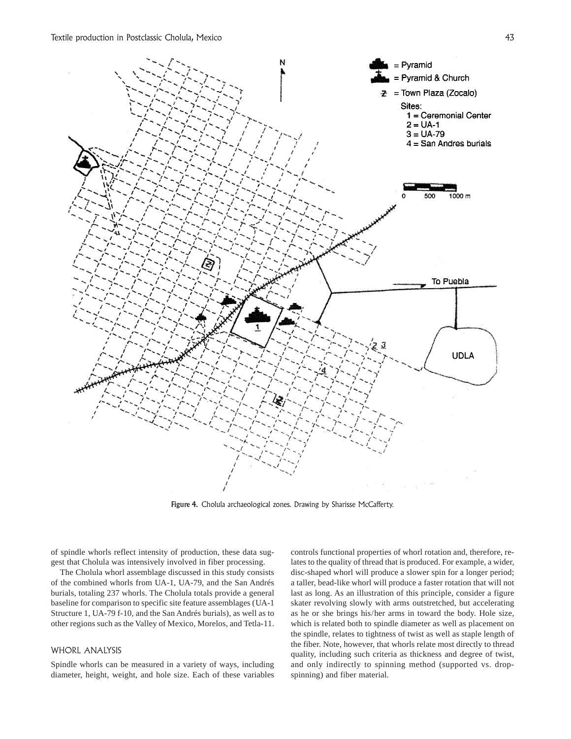

Figure 4. Cholula archaeological zones. Drawing by Sharisse McCafferty.

of spindle whorls reflect intensity of production, these data suggest that Cholula was intensively involved in fiber processing.

The Cholula whorl assemblage discussed in this study consists of the combined whorls from UA-1, UA-79, and the San Andrés burials, totaling 237 whorls. The Cholula totals provide a general baseline for comparison to specific site feature assemblages (UA-1 Structure 1, UA-79 f-10, and the San Andrés burials), as well as to other regions such as the Valley of Mexico, Morelos, and Tetla-11.

#### WHORL ANALYSIS

Spindle whorls can be measured in a variety of ways, including diameter, height, weight, and hole size. Each of these variables controls functional properties of whorl rotation and, therefore, relates to the quality of thread that is produced. For example, a wider, disc-shaped whorl will produce a slower spin for a longer period; a taller, bead-like whorl will produce a faster rotation that will not last as long. As an illustration of this principle, consider a figure skater revolving slowly with arms outstretched, but accelerating as he or she brings his/her arms in toward the body. Hole size, which is related both to spindle diameter as well as placement on the spindle, relates to tightness of twist as well as staple length of the fiber. Note, however, that whorls relate most directly to thread quality, including such criteria as thickness and degree of twist, and only indirectly to spinning method (supported vs. dropspinning) and fiber material.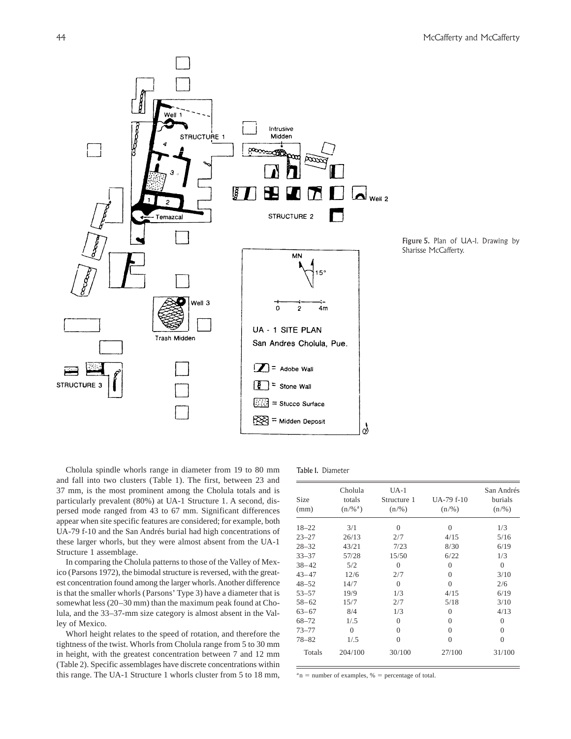

Figure 5. Plan of UA-1. Drawing by Sharisse McCafferty.

Cholula spindle whorls range in diameter from 19 to 80 mm and fall into two clusters (Table 1). The first, between 23 and 37 mm, is the most prominent among the Cholula totals and is particularly prevalent (80%) at UA-1 Structure 1. A second, dispersed mode ranged from 43 to 67 mm. Significant differences appear when site specific features are considered; for example, both UA-79 f-10 and the San Andrés burial had high concentrations of these larger whorls, but they were almost absent from the UA-1 Structure 1 assemblage.

In comparing the Cholula patterns to those of the Valley of Mexico (Parsons 1972), the bimodal structure is reversed, with the greatest concentration found among the larger whorls. Another difference is that the smaller whorls (Parsons' Type 3) have a diameter that is somewhat less (20–30 mm) than the maximum peak found at Cholula, and the 33–37-mm size category is almost absent in the Valley of Mexico.

Whorl height relates to the speed of rotation, and therefore the tightness of the twist. Whorls from Cholula range from 5 to 30 mm in height, with the greatest concentration between 7 and 12 mm (Table 2). Specific assemblages have discrete concentrations within this range. The UA-1 Structure 1 whorls cluster from 5 to 18 mm,

#### Table 1. Diameter

| <b>Size</b><br>(mm) | Cholula<br>totals<br>$(n/\%$ <sup>a</sup> ) | $UA-1$<br>Structure 1<br>$(n/\%)$ | $UA-79f-10$<br>$(n/\%)$ | San Andrés<br>burials<br>$(n/\%)$ |
|---------------------|---------------------------------------------|-----------------------------------|-------------------------|-----------------------------------|
| $18 - 22$           | 3/1                                         | $\Omega$                          | $\Omega$                | 1/3                               |
| $23 - 27$           | 26/13                                       | 2/7                               | 4/15                    | 5/16                              |
| $28 - 32$           | 43/21                                       | 7/23                              | 8/30                    | 6/19                              |
| $33 - 37$           | 57/28                                       | 15/50                             | 6/22                    | 1/3                               |
| $38 - 42$           | 5/2                                         | $\Omega$                          | $\Omega$                | $\Omega$                          |
| $43 - 47$           | 12/6                                        | 2/7                               | $\Omega$                | 3/10                              |
| $48 - 52$           | 14/7                                        | $\Omega$                          | $\Omega$                | 2/6                               |
| $53 - 57$           | 19/9                                        | 1/3                               | 4/15                    | 6/19                              |
| $58 - 62$           | 15/7                                        | 2/7                               | 5/18                    | 3/10                              |
| $63 - 67$           | 8/4                                         | 1/3                               | $\theta$                | 4/13                              |
| 68-72               | 1/.5                                        | $\Omega$                          | $\Omega$                | $\Omega$                          |
| $73 - 77$           | $\Omega$                                    | $\theta$                          | $\Omega$                | 0                                 |
| 78-82               | 1/.5                                        | $\Omega$                          | $\Omega$                | $\Omega$                          |
| Totals              | 204/100                                     | 30/100                            | 27/100                  | 31/100                            |

 $a_n$  = number of examples, % = percentage of total.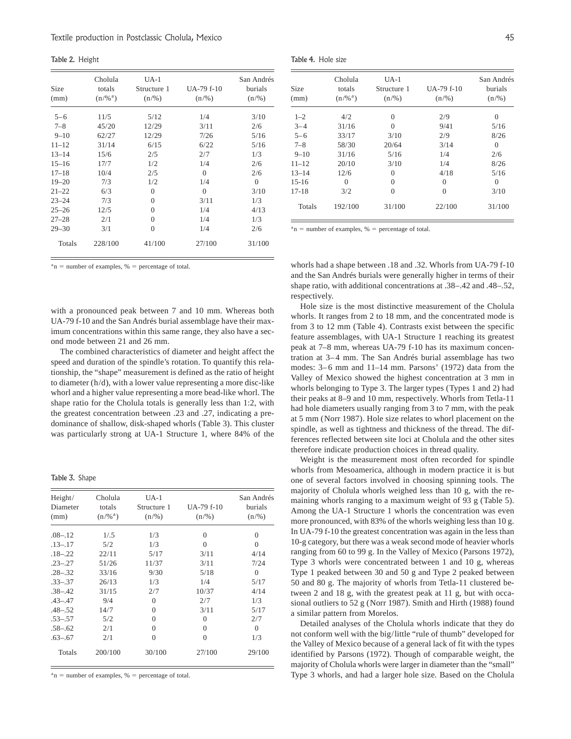Table 2. Height

| Size<br>(mm) | Cholula<br>totals<br>$(n/\%$ <sup>a</sup> ) | $UA-1$<br>Structure 1<br>$(n/\%)$ | UA-79 f-10<br>$(n/\%)$ | San Andrés<br>burials<br>$(n/\%)$ |
|--------------|---------------------------------------------|-----------------------------------|------------------------|-----------------------------------|
| $5 - 6$      | 11/5                                        | 5/12                              | 1/4                    | 3/10                              |
| $7 - 8$      | 45/20                                       | 12/29                             | 3/11                   | 2/6                               |
| $9 - 10$     | 62/27                                       | 12/29                             | 7/26                   | 5/16                              |
| $11 - 12$    | 31/14                                       | 6/15                              | 6/22                   | 5/16                              |
| $13 - 14$    | 15/6                                        | 2/5                               | 2/7                    | 1/3                               |
| $15 - 16$    | 17/7                                        | 1/2                               | 1/4                    | 2/6                               |
| $17 - 18$    | 10/4                                        | 2/5                               | $\Omega$               | 2/6                               |
| $19 - 20$    | 7/3                                         | 1/2                               | 1/4                    | $\Omega$                          |
| $21 - 22$    | 6/3                                         | $\Omega$                          | $\Omega$               | 3/10                              |
| $23 - 24$    | 7/3                                         | $\Omega$                          | 3/11                   | 1/3                               |
| $25 - 26$    | 12/5                                        | $\Omega$                          | 1/4                    | 4/13                              |
| $27 - 28$    | 2/1                                         | $\Omega$                          | 1/4                    | 1/3                               |
| $29 - 30$    | 3/1                                         | $\Omega$                          | 1/4                    | 2/6                               |
| Totals       | 228/100                                     | 41/100                            | 27/100                 | 31/100                            |

 $a_n$  = number of examples, % = percentage of total.

with a pronounced peak between 7 and 10 mm. Whereas both UA-79 f-10 and the San Andrés burial assemblage have their maximum concentrations within this same range, they also have a second mode between 21 and 26 mm.

The combined characteristics of diameter and height affect the speed and duration of the spindle's rotation. To quantify this relationship, the "shape" measurement is defined as the ratio of height to diameter (h/d), with a lower value representing a more disc-like whorl and a higher value representing a more bead-like whorl. The shape ratio for the Cholula totals is generally less than 1:2, with the greatest concentration between .23 and .27, indicating a predominance of shallow, disk-shaped whorls (Table 3). This cluster was particularly strong at UA-1 Structure 1, where 84% of the

Table 3. Shape

| Height/<br>Diameter<br>(mm) | Cholula<br>totals<br>$(n/\%$ <sup>a</sup> ) | $UA-1$<br>Structure 1<br>$(n/\%)$ | UA-79 f-10<br>$(n/\%)$ | San Andrés<br>burials<br>$(n/\%)$ |
|-----------------------------|---------------------------------------------|-----------------------------------|------------------------|-----------------------------------|
| $.08 - .12$                 | 1/.5                                        | 1/3                               | $\Omega$               | $\Omega$                          |
| $.13 - .17$                 | 5/2                                         | 1/3                               | $\Omega$               | $\Omega$                          |
| $.18 - .22$                 | 22/11                                       | 5/17                              | 3/11                   | 4/14                              |
| $.23 - .27$                 | 51/26                                       | 11/37                             | 3/11                   | 7/24                              |
| $.28 - .32$                 | 33/16                                       | 9/30                              | 5/18                   | $\Omega$                          |
| $.33 - .37$                 | 26/13                                       | 1/3                               | 1/4                    | 5/17                              |
| $.38 - .42$                 | 31/15                                       | 2/7                               | 10/37                  | 4/14                              |
| $.43 - .47$                 | 9/4                                         | $\Omega$                          | 2/7                    | 1/3                               |
| $.48 - .52$                 | 14/7                                        | $\Omega$                          | 3/11                   | 5/17                              |
| $.53 - .57$                 | 5/2                                         | $\theta$                          | $\Omega$               | 2/7                               |
| $.58 - .62$                 | 2/1                                         | $\theta$                          | $\theta$               | $\Omega$                          |
| $.63 - .67$                 | 2/1                                         | $\theta$                          | $\theta$               | 1/3                               |
| Totals                      | 200/100                                     | 30/100                            | 27/100                 | 29/100                            |

 $a_n$  = number of examples, % = percentage of total.

| <b>Table 4.</b> Hole size |  |  |  |  |
|---------------------------|--|--|--|--|
|---------------------------|--|--|--|--|

| Size<br>(mm) | Cholula<br>totals<br>$(n/\%$ <sup>a</sup> ) | $U_A-1$<br>Structure 1<br>$(n/\%)$ | UA-79 f-10<br>$(n/\%)$ | San Andrés<br>burials<br>$(n/\%)$ |
|--------------|---------------------------------------------|------------------------------------|------------------------|-----------------------------------|
| $1 - 2$      | 4/2                                         | $\Omega$                           | 2/9                    | $\Omega$                          |
| $3 - 4$      | 31/16                                       | $\Omega$                           | 9/41                   | 5/16                              |
| $5 - 6$      | 33/17                                       | 3/10                               | 2/9                    | 8/26                              |
| $7 - 8$      | 58/30                                       | 20/64                              | 3/14                   | $\Omega$                          |
| $9 - 10$     | 31/16                                       | 5/16                               | 1/4                    | 2/6                               |
| $11 - 12$    | 20/10                                       | 3/10                               | 1/4                    | 8/26                              |
| $13 - 14$    | 12/6                                        | $\Omega$                           | 4/18                   | 5/16                              |
| $15 - 16$    | $\Omega$                                    | $\Omega$                           | $\Omega$               | $\Omega$                          |
| $17 - 18$    | 3/2                                         | 0                                  | $\Omega$               | 3/10                              |
| Totals       | 192/100                                     | 31/100                             | 22/100                 | 31/100                            |

 $a_n$  = number of examples, % = percentage of total.

whorls had a shape between .18 and .32. Whorls from UA-79 f-10 and the San Andrés burials were generally higher in terms of their shape ratio, with additional concentrations at .38–.42 and .48–.52, respectively.

Hole size is the most distinctive measurement of the Cholula whorls. It ranges from 2 to 18 mm, and the concentrated mode is from 3 to 12 mm (Table 4). Contrasts exist between the specific feature assemblages, with UA-1 Structure 1 reaching its greatest peak at 7–8 mm, whereas UA-79 f-10 has its maximum concentration at 3–4 mm. The San Andrés burial assemblage has two modes: 3–6 mm and 11–14 mm. Parsons' (1972) data from the Valley of Mexico showed the highest concentration at 3 mm in whorls belonging to Type 3. The larger types (Types 1 and 2) had their peaks at 8–9 and 10 mm, respectively. Whorls from Tetla-11 had hole diameters usually ranging from 3 to 7 mm, with the peak at 5 mm (Norr 1987). Hole size relates to whorl placement on the spindle, as well as tightness and thickness of the thread. The differences reflected between site loci at Cholula and the other sites therefore indicate production choices in thread quality.

Weight is the measurement most often recorded for spindle whorls from Mesoamerica, although in modern practice it is but one of several factors involved in choosing spinning tools. The majority of Cholula whorls weighed less than 10 g, with the remaining whorls ranging to a maximum weight of 93 g (Table 5). Among the UA-1 Structure 1 whorls the concentration was even more pronounced, with 83% of the whorls weighing less than 10 g. In UA-79 f-10 the greatest concentration was again in the less than 10-g category, but there was a weak second mode of heavier whorls ranging from 60 to 99 g. In the Valley of Mexico (Parsons 1972), Type 3 whorls were concentrated between 1 and 10 g, whereas Type 1 peaked between 30 and 50 g and Type 2 peaked between 50 and 80 g. The majority of whorls from Tetla-11 clustered between 2 and 18 g, with the greatest peak at 11 g, but with occasional outliers to 52 g (Norr 1987). Smith and Hirth (1988) found a similar pattern from Morelos.

Detailed analyses of the Cholula whorls indicate that they do not conform well with the big/little "rule of thumb" developed for the Valley of Mexico because of a general lack of fit with the types identified by Parsons (1972). Though of comparable weight, the majority of Cholula whorls were larger in diameter than the "small" Type 3 whorls, and had a larger hole size. Based on the Cholula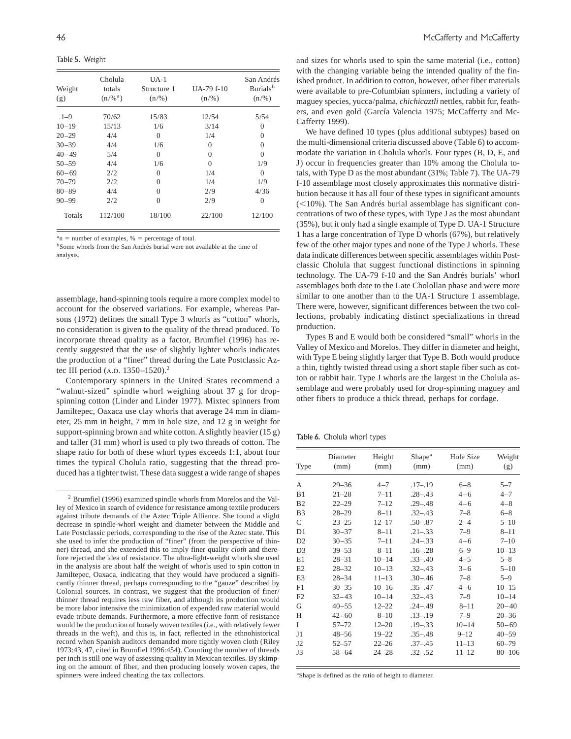Table 5. Weight

| Weight<br>(g) | Cholula<br>totals<br>$(n/\%$ <sup>a</sup> ) | UA-1<br>Structure 1<br>$(n/\%)$ | UA-79 f-10<br>$(n/\%)$ | San Andrés<br>Burials <sup>b</sup><br>$(n/\%)$ |
|---------------|---------------------------------------------|---------------------------------|------------------------|------------------------------------------------|
| $-1-9$        | 70/62                                       | 15/83                           | 12/54                  | 5/54                                           |
| $10 - 19$     | 15/13                                       | 1/6                             | 3/14                   | $\Omega$                                       |
| $20 - 29$     | 4/4                                         | $\Omega$                        | 1/4                    | $\Omega$                                       |
| $30 - 39$     | 4/4                                         | 1/6                             | $\Omega$               | $\Omega$                                       |
| $40 - 49$     | 5/4                                         | $\Omega$                        | $\Omega$               | $\Omega$                                       |
| $50 - 59$     | 4/4                                         | 1/6                             | $\Omega$               | 1/9                                            |
| $60 - 69$     | 2/2                                         | $\Omega$                        | 1/4                    | $\Omega$                                       |
| $70 - 79$     | 2/2                                         | $\theta$                        | 1/4                    | 1/9                                            |
| $80 - 89$     | 4/4                                         | $\Omega$                        | 2/9                    | 4/36                                           |
| $90 - 99$     | 2/2                                         | $\Omega$                        | 2/9                    | $\Omega$                                       |
| Totals        | 112/100                                     | 18/100                          | 22/100                 | 12/100                                         |

 $a_n$  = number of examples, % = percentage of total.

<sup>b</sup>Some whorls from the San Andrés burial were not available at the time of analysis.

assemblage, hand-spinning tools require a more complex model to account for the observed variations. For example, whereas Parsons (1972) defines the small Type 3 whorls as "cotton" whorls, no consideration is given to the quality of the thread produced. To incorporate thread quality as a factor, Brumfiel (1996) has recently suggested that the use of slightly lighter whorls indicates the production of a "finer" thread during the Late Postclassic Aztec III period (A.D. 1350–1520).<sup>2</sup>

Contemporary spinners in the United States recommend a "walnut-sized" spindle whorl weighing about 37 g for dropspinning cotton (Linder and Linder 1977). Mixtec spinners from Jamiltepec, Oaxaca use clay whorls that average 24 mm in diameter, 25 mm in height, 7 mm in hole size, and 12 g in weight for support-spinning brown and white cotton. A slightly heavier (15 g) and taller (31 mm) whorl is used to ply two threads of cotton. The shape ratio for both of these whorl types exceeds 1:1, about four times the typical Cholula ratio, suggesting that the thread produced has a tighter twist. These data suggest a wide range of shapes

<sup>2</sup> Brumfiel (1996) examined spindle whorls from Morelos and the Valley of Mexico in search of evidence for resistance among textile producers against tribute demands of the Aztec Triple Alliance. She found a slight decrease in spindle-whorl weight and diameter between the Middle and Late Postclassic periods, corresponding to the rise of the Aztec state. This she used to infer the production of "finer" (from the perspective of thinner) thread, and she extended this to imply finer quality *cloth* and therefore rejected the idea of resistance. The ultra-light-weight whorls she used in the analysis are about half the weight of whorls used to spin cotton in Jamiltepec, Oaxaca, indicating that they would have produced a significantly thinner thread, perhaps corresponding to the "gauze" described by Colonial sources. In contrast, we suggest that the production of finer/ thinner thread requires less raw fiber, and although its production would be more labor intensive the minimization of expended raw material would evade tribute demands. Furthermore, a more effective form of resistance would be the production of loosely woven textiles (i.e., with relatively fewer threads in the weft), and this is, in fact, reflected in the ethnohistorical record when Spanish auditors demanded more tightly woven cloth (Riley 1973:43, 47, cited in Brumfiel 1996:454). Counting the number of threads per inch is still one way of assessing quality in Mexican textiles. By skimping on the amount of fiber, and then producing loosely woven capes, the spinners were indeed cheating the tax collectors.

and sizes for whorls used to spin the same material (i.e., cotton) with the changing variable being the intended quality of the finished product. In addition to cotton, however, other fiber materials were available to pre-Columbian spinners, including a variety of maguey species, yucca/palma, *chichicaztli* nettles, rabbit fur, feathers, and even gold (García Valencia 1975; McCafferty and Mc-Cafferty 1999).

We have defined 10 types (plus additional subtypes) based on the multi-dimensional criteria discussed above (Table 6) to accommodate the variation in Cholula whorls. Four types (B, D, E, and J) occur in frequencies greater than 10% among the Cholula totals, with Type D as the most abundant (31%; Table 7). The UA-79 f-10 assemblage most closely approximates this normative distribution because it has all four of these types in significant amounts  $(<10%$ ). The San Andrés burial assemblage has significant concentrations of two of these types, with Type J as the most abundant (35%), but it only had a single example of Type D. UA-1 Structure 1 has a large concentration of Type D whorls (67%), but relatively few of the other major types and none of the Type J whorls. These data indicate differences between specific assemblages within Postclassic Cholula that suggest functional distinctions in spinning technology. The UA-79 f-10 and the San Andrés burials' whorl assemblages both date to the Late Cholollan phase and were more similar to one another than to the UA-1 Structure 1 assemblage. There were, however, significant differences between the two collections, probably indicating distinct specializations in thread production.

Types B and E would both be considered "small" whorls in the Valley of Mexico and Morelos. They differ in diameter and height, with Type E being slightly larger that Type B. Both would produce a thin, tightly twisted thread using a short staple fiber such as cotton or rabbit hair. Type J whorls are the largest in the Cholula assemblage and were probably used for drop-spinning maguey and other fibers to produce a thick thread, perhaps for cordage.

Table 6. Cholula whorl types

| Type           | Diameter<br>(mm) | Height<br>(mm) | Shape <sup>a</sup><br>(mm) | Hole Size<br>(mm) | Weight<br>(g) |
|----------------|------------------|----------------|----------------------------|-------------------|---------------|
| A              | $29 - 36$        | $4 - 7$        | $.17 - .19$                | $6 - 8$           | $5 - 7$       |
| B1             | $21 - 28$        | $7 - 11$       | $.28 - .43$                | $4 - 6$           | $4 - 7$       |
| B <sub>2</sub> | $22 - 29$        | $7 - 12$       | $.29 - .48$                | $4 - 6$           | $4 - 8$       |
| B <sub>3</sub> | $28 - 29$        | $8 - 11$       | $.32 - .43$                | $7 - 8$           | $6 - 8$       |
| $\mathsf{C}$   | $23 - 25$        | $12 - 17$      | $.50 - .87$                | $2 - 4$           | $5 - 10$      |
| D <sub>1</sub> | $30 - 37$        | $8 - 11$       | $.21 - .33$                | $7 - 9$           | $8 - 11$      |
| D <sub>2</sub> | $30 - 35$        | $7 - 11$       | $.24 - .33$                | $4 - 6$           | $7 - 10$      |
| D <sub>3</sub> | $39 - 53$        | $8 - 11$       | $.16 - .28$                | $6 - 9$           | $10 - 13$     |
| E1             | $28 - 31$        | $10 - 14$      | $.33 - .40$                | $4 - 5$           | $5 - 8$       |
| E2             | $28 - 32$        | $10 - 13$      | $.32 - .43$                | $3 - 6$           | $5 - 10$      |
| E3             | $28 - 34$        | $11 - 13$      | $.30 - .46$                | $7 - 8$           | $5 - 9$       |
| F1             | $30 - 35$        | $10 - 16$      | $.35 - .47$                | $4 - 6$           | $10 - 15$     |
| F <sub>2</sub> | $32 - 43$        | $10 - 14$      | $.32 - .43$                | $7 - 9$           | $10 - 14$     |
| G              | $40 - 55$        | $12 - 22$      | $.24 - .49$                | $8 - 11$          | $20 - 40$     |
| Н              | $42 - 60$        | $8 - 10$       | $.13 - .19$                | $7 - 9$           | $20 - 36$     |
| I              | $57 - 72$        | $12 - 20$      | $.19 - .33$                | $10 - 14$         | $50 - 69$     |
| J <sub>1</sub> | $48 - 56$        | $19 - 22$      | $.35 - .48$                | $9 - 12$          | $40 - 59$     |
| J2             | $52 - 57$        | $22 - 26$      | $.37 - .45$                | $11 - 13$         | $60 - 79$     |
| J3             | $58 - 64$        | $24 - 28$      | $.32 - .52$                | $11 - 12$         | $80 - 106$    |

a Shape is defined as the ratio of height to diameter.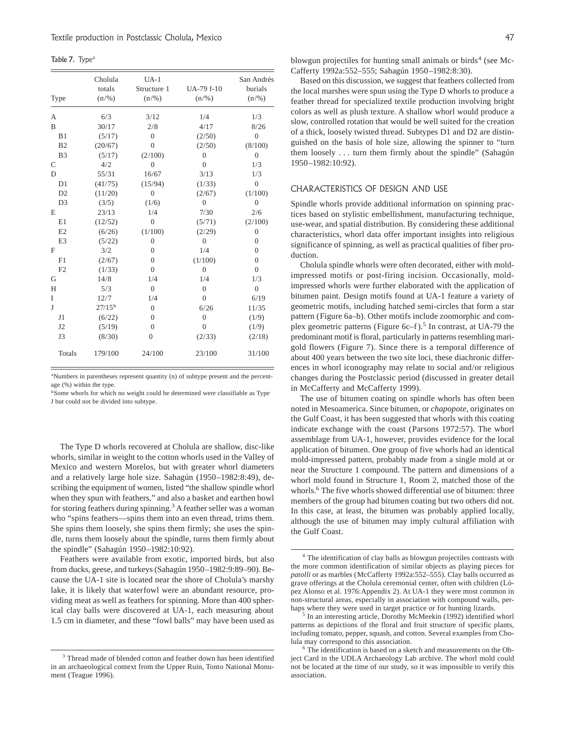Table 7. Type<sup>a</sup>

| Type           | Cholula<br>totals<br>$(n/\%)$ | $UA-1$<br>Structure 1<br>$(n/\%)$ | UA-79 f-10<br>$(n/\%)$ | San Andrés<br>burials<br>$(n/\%)$ |
|----------------|-------------------------------|-----------------------------------|------------------------|-----------------------------------|
| А              | 6/3                           | 3/12                              | 1/4                    | 1/3                               |
| B              | 30/17                         | 2/8                               | 4/17                   | 8/26                              |
| B1             | (5/17)                        | $\overline{0}$                    | (2/50)                 | $\overline{0}$                    |
| B <sub>2</sub> | (20/67)                       | $\theta$                          | (2/50)                 | (8/100)                           |
| B <sub>3</sub> | (5/17)                        | (2/100)                           | $\theta$               | $\overline{0}$                    |
| $\mathsf{C}$   | 4/2                           | $\overline{0}$                    | $\theta$               | 1/3                               |
| D              | 55/31                         | 16/67                             | 3/13                   | 1/3                               |
| D <sub>1</sub> | (41/75)                       | (15/94)                           | (1/33)                 | $\Omega$                          |
| D2             | (11/20)                       | $\theta$                          | (2/67)                 | (1/100)                           |
| D <sub>3</sub> | (3/5)                         | (1/6)                             | $\overline{0}$         | $\overline{0}$                    |
| E              | 23/13                         | 1/4                               | 7/30                   | 2/6                               |
| E1             | (12/52)                       | $\overline{0}$                    | (5/71)                 | (2/100)                           |
| E2             | (6/26)                        | (1/100)                           | (2/29)                 | $\overline{0}$                    |
| E <sub>3</sub> | (5/22)                        | $\overline{0}$                    | $\Omega$               | $\overline{0}$                    |
| F              | 3/2                           | $\theta$                          | 1/4                    | $\theta$                          |
| F1             | (2/67)                        | $\Omega$                          | (1/100)                | $\theta$                          |
| F <sub>2</sub> | (1/33)                        | $\theta$                          | $\Omega$               | $\theta$                          |
| G              | 14/8                          | 1/4                               | 1/4                    | 1/3                               |
| H              | 5/3                           | $\Omega$                          | $\theta$               | $\overline{0}$                    |
| I              | 12/7                          | 1/4                               | $\overline{0}$         | 6/19                              |
| J              | $27/15^{b}$                   | $\Omega$                          | 6/26                   | 11/35                             |
| J1             | (6/22)                        | $\Omega$                          | $\theta$               | (1/9)                             |
| J2             | (5/19)                        | $\theta$                          | $\overline{0}$         | (1/9)                             |
| J3             | (8/30)                        | $\mathbf{0}$                      | (2/33)                 | (2/18)                            |
| Totals         | 179/100                       | 24/100                            | 23/100                 | 31/100                            |

a Numbers in parentheses represent quantity (n) of subtype present and the percentage (%) within the type.

bSome whorls for which no weight could be determined were classifiable as Type J but could not be divided into subtype.

The Type D whorls recovered at Cholula are shallow, disc-like whorls, similar in weight to the cotton whorls used in the Valley of Mexico and western Morelos, but with greater whorl diameters and a relatively large hole size. Sahagún (1950–1982:8:49), describing the equipment of women, listed "the shallow spindle whorl when they spun with feathers," and also a basket and earthen bowl for storing feathers during spinning.<sup>3</sup> A feather seller was a woman who "spins feathers—spins them into an even thread, trims them. She spins them loosely, she spins them firmly; she uses the spindle, turns them loosely about the spindle, turns them firmly about the spindle" (Sahagún 1950–1982:10:92).

Feathers were available from exotic, imported birds, but also from ducks, geese, and turkeys (Sahagún 1950–1982:9:89–90). Because the UA-1 site is located near the shore of Cholula's marshy lake, it is likely that waterfowl were an abundant resource, providing meat as well as feathers for spinning. More than 400 spherical clay balls were discovered at UA-1, each measuring about 1.5 cm in diameter, and these "fowl balls" may have been used as

blowgun projectiles for hunting small animals or birds<sup>4</sup> (see Mc-Cafferty 1992a:552–555; Sahagún 1950–1982:8:30).

Based on this discussion, we suggest that feathers collected from the local marshes were spun using the Type D whorls to produce a feather thread for specialized textile production involving bright colors as well as plush texture. A shallow whorl would produce a slow, controlled rotation that would be well suited for the creation of a thick, loosely twisted thread. Subtypes D1 and D2 are distinguished on the basis of hole size, allowing the spinner to "turn them loosely . . . turn them firmly about the spindle" (Sahagún 1950–1982:10:92).

### CHARACTERISTICS OF DESIGN AND USE

Spindle whorls provide additional information on spinning practices based on stylistic embellishment, manufacturing technique, use-wear, and spatial distribution. By considering these additional characteristics, whorl data offer important insights into religious significance of spinning, as well as practical qualities of fiber production.

Cholula spindle whorls were often decorated, either with moldimpressed motifs or post-firing incision. Occasionally, moldimpressed whorls were further elaborated with the application of bitumen paint. Design motifs found at UA-1 feature a variety of geometric motifs, including hatched semi-circles that form a star pattern (Figure 6a–b). Other motifs include zoomorphic and complex geometric patterns (Figure 6c–f).<sup>5</sup> In contrast, at UA-79 the predominant motif is floral, particularly in patterns resembling marigold flowers (Figure 7). Since there is a temporal difference of about 400 years between the two site loci, these diachronic differences in whorl iconography may relate to social and/or religious changes during the Postclassic period (discussed in greater detail in McCafferty and McCafferty 1999).

The use of bitumen coating on spindle whorls has often been noted in Mesoamerica. Since bitumen, or *chapopote*, originates on the Gulf Coast, it has been suggested that whorls with this coating indicate exchange with the coast (Parsons 1972:57). The whorl assemblage from UA-1, however, provides evidence for the local application of bitumen. One group of five whorls had an identical mold-impressed pattern, probably made from a single mold at or near the Structure 1 compound. The pattern and dimensions of a whorl mold found in Structure 1, Room 2, matched those of the whorls.<sup>6</sup> The five whorls showed differential use of bitumen: three members of the group had bitumen coating but two others did not. In this case, at least, the bitumen was probably applied locally, although the use of bitumen may imply cultural affiliation with the Gulf Coast.

<sup>&</sup>lt;sup>3</sup> Thread made of blended cotton and feather down has been identified in an archaeological context from the Upper Ruin, Tonto National Monument (Teague 1996).

<sup>4</sup> The identification of clay balls as blowgun projectiles contrasts with the more common identification of similar objects as playing pieces for *patolli* or as marbles (McCafferty 1992a:552–555). Clay balls occurred as grave offerings at the Cholula ceremonial center, often with children (López Alonso et al. 1976:Appendix 2). At UA-1 they were most common in non-structural areas, especially in association with compound walls, perhaps where they were used in target practice or for hunting lizards.<br><sup>5</sup> In an interesting article, Dorothy McMeekin (1992) identified whorl

patterns as depictions of the floral and fruit structure of specific plants, including tomato, pepper, squash, and cotton. Several examples from Cholula may correspond to this association. <sup>6</sup> The identification is based on a sketch and measurements on the Ob-

ject Card in the UDLA Archaeology Lab archive. The whorl mold could not be located at the time of our study, so it was impossible to verify this association.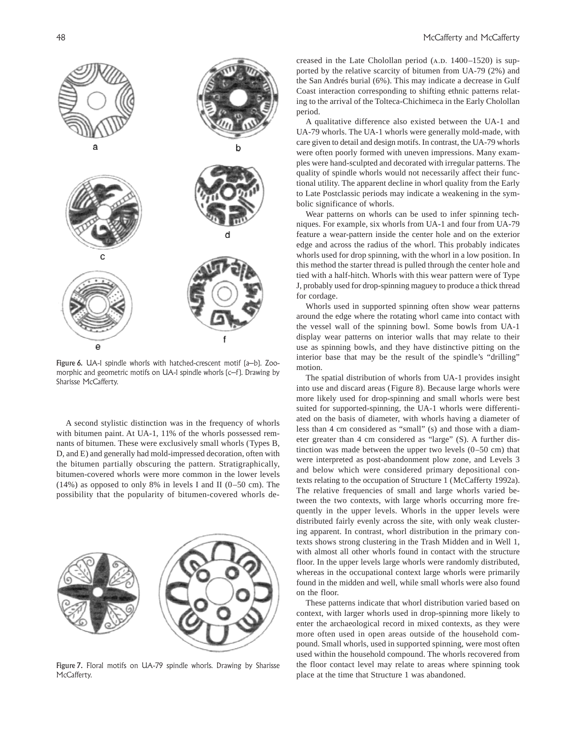

Figure 6. UA-1 spindle whorls with hatched-crescent motif (a–b). Zoomorphic and geometric motifs on UA-1 spindle whorls (c–f). Drawing by Sharisse McCafferty.

A second stylistic distinction was in the frequency of whorls with bitumen paint. At UA-1, 11% of the whorls possessed remnants of bitumen. These were exclusively small whorls (Types B, D, and E) and generally had mold-impressed decoration, often with the bitumen partially obscuring the pattern. Stratigraphically, bitumen-covered whorls were more common in the lower levels  $(14\%)$  as opposed to only 8% in levels I and II  $(0-50 \text{ cm})$ . The possibility that the popularity of bitumen-covered whorls de-



Figure 7. Floral motifs on UA-79 spindle whorls. Drawing by Sharisse McCafferty.

creased in the Late Cholollan period  $(A.D. 1400-1520)$  is supported by the relative scarcity of bitumen from UA-79 (2%) and the San Andrés burial (6%). This may indicate a decrease in Gulf Coast interaction corresponding to shifting ethnic patterns relating to the arrival of the Tolteca-Chichimeca in the Early Cholollan period.

A qualitative difference also existed between the UA-1 and UA-79 whorls. The UA-1 whorls were generally mold-made, with care given to detail and design motifs. In contrast, the UA-79 whorls were often poorly formed with uneven impressions. Many examples were hand-sculpted and decorated with irregular patterns. The quality of spindle whorls would not necessarily affect their functional utility. The apparent decline in whorl quality from the Early to Late Postclassic periods may indicate a weakening in the symbolic significance of whorls.

Wear patterns on whorls can be used to infer spinning techniques. For example, six whorls from UA-1 and four from UA-79 feature a wear-pattern inside the center hole and on the exterior edge and across the radius of the whorl. This probably indicates whorls used for drop spinning, with the whorl in a low position. In this method the starter thread is pulled through the center hole and tied with a half-hitch. Whorls with this wear pattern were of Type J, probably used for drop-spinning maguey to produce a thick thread for cordage.

Whorls used in supported spinning often show wear patterns around the edge where the rotating whorl came into contact with the vessel wall of the spinning bowl. Some bowls from UA-1 display wear patterns on interior walls that may relate to their use as spinning bowls, and they have distinctive pitting on the interior base that may be the result of the spindle's "drilling" motion.

The spatial distribution of whorls from UA-1 provides insight into use and discard areas (Figure 8). Because large whorls were more likely used for drop-spinning and small whorls were best suited for supported-spinning, the UA-1 whorls were differentiated on the basis of diameter, with whorls having a diameter of less than 4 cm considered as "small" (s) and those with a diameter greater than 4 cm considered as "large" (S). A further distinction was made between the upper two levels (0–50 cm) that were interpreted as post-abandonment plow zone, and Levels 3 and below which were considered primary depositional contexts relating to the occupation of Structure 1 (McCafferty 1992a). The relative frequencies of small and large whorls varied between the two contexts, with large whorls occurring more frequently in the upper levels. Whorls in the upper levels were distributed fairly evenly across the site, with only weak clustering apparent. In contrast, whorl distribution in the primary contexts shows strong clustering in the Trash Midden and in Well 1, with almost all other whorls found in contact with the structure floor. In the upper levels large whorls were randomly distributed, whereas in the occupational context large whorls were primarily found in the midden and well, while small whorls were also found on the floor.

These patterns indicate that whorl distribution varied based on context, with larger whorls used in drop-spinning more likely to enter the archaeological record in mixed contexts, as they were more often used in open areas outside of the household compound. Small whorls, used in supported spinning, were most often used within the household compound. The whorls recovered from the floor contact level may relate to areas where spinning took place at the time that Structure 1 was abandoned.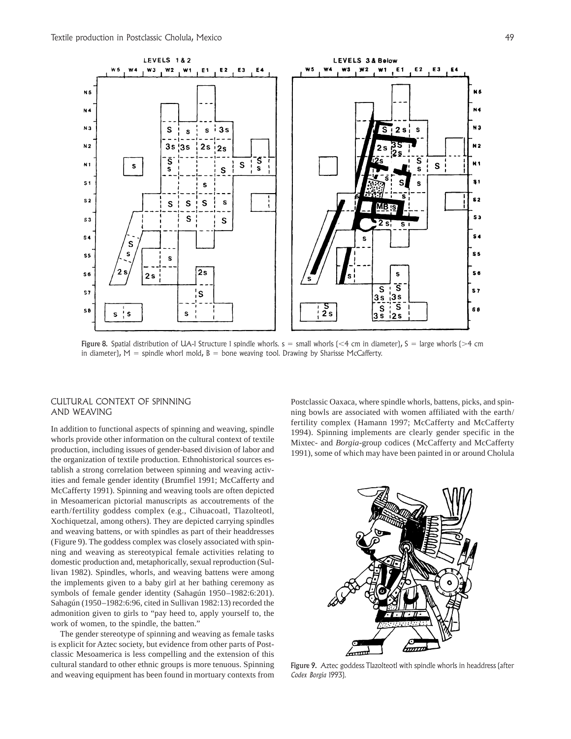

Figure 8. Spatial distribution of UA-1 Structure 1 spindle whorls.  $s =$  small whorls (<4 cm in diameter),  $S =$  large whorls (>4 cm in diameter),  $M =$  spindle whorl mold,  $B =$  bone weaving tool. Drawing by Sharisse McCafferty.

## CULTURAL CONTEXT OF SPINNING AND WEAVING

In addition to functional aspects of spinning and weaving, spindle whorls provide other information on the cultural context of textile production, including issues of gender-based division of labor and the organization of textile production. Ethnohistorical sources establish a strong correlation between spinning and weaving activities and female gender identity (Brumfiel 1991; McCafferty and McCafferty 1991). Spinning and weaving tools are often depicted in Mesoamerican pictorial manuscripts as accoutrements of the earth/fertility goddess complex (e.g., Cihuacoatl, Tlazolteotl, Xochiquetzal, among others). They are depicted carrying spindles and weaving battens, or with spindles as part of their headdresses (Figure 9). The goddess complex was closely associated with spinning and weaving as stereotypical female activities relating to domestic production and, metaphorically, sexual reproduction (Sullivan 1982). Spindles, whorls, and weaving battens were among the implements given to a baby girl at her bathing ceremony as symbols of female gender identity (Sahagún 1950–1982:6:201). Sahagún (1950–1982:6:96, cited in Sullivan 1982:13) recorded the admonition given to girls to "pay heed to, apply yourself to, the work of women, to the spindle, the batten."

The gender stereotype of spinning and weaving as female tasks is explicit for Aztec society, but evidence from other parts of Postclassic Mesoamerica is less compelling and the extension of this cultural standard to other ethnic groups is more tenuous. Spinning and weaving equipment has been found in mortuary contexts from Postclassic Oaxaca, where spindle whorls, battens, picks, and spinning bowls are associated with women affiliated with the earth/ fertility complex (Hamann 1997; McCafferty and McCafferty 1994). Spinning implements are clearly gender specific in the Mixtec- and *Borgia*-group codices (McCafferty and McCafferty 1991), some of which may have been painted in or around Cholula



Figure 9. Aztec goddess Tlazolteotl with spindle whorls in headdress (after *Codex Borgia* 1993).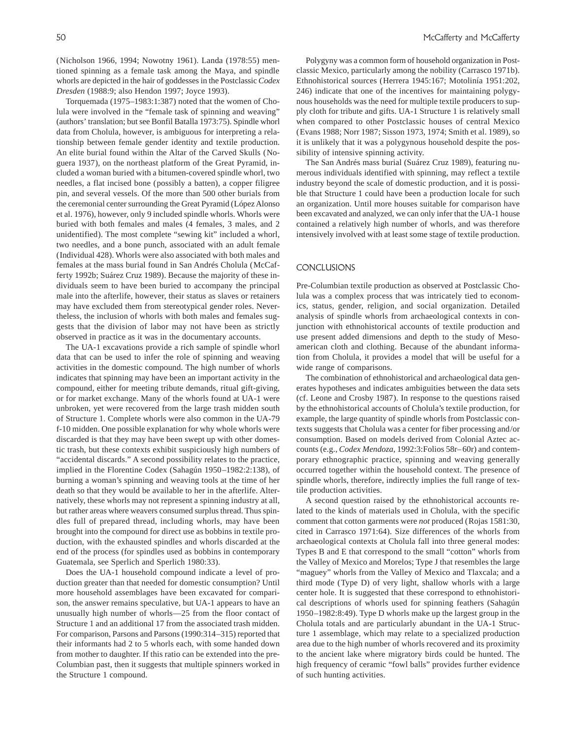(Nicholson 1966, 1994; Nowotny 1961). Landa (1978:55) mentioned spinning as a female task among the Maya, and spindle whorls are depicted in the hair of goddesses in the Postclassic *Codex Dresden* (1988:9; also Hendon 1997; Joyce 1993).

Torquemada (1975–1983:1:387) noted that the women of Cholula were involved in the "female task of spinning and weaving" (authors' translation; but see Bonfil Batalla 1973:75). Spindle whorl data from Cholula, however, is ambiguous for interpreting a relationship between female gender identity and textile production. An elite burial found within the Altar of the Carved Skulls (Noguera 1937), on the northeast platform of the Great Pyramid, included a woman buried with a bitumen-covered spindle whorl, two needles, a flat incised bone (possibly a batten), a copper filigree pin, and several vessels. Of the more than 500 other burials from the ceremonial center surrounding the Great Pyramid (López Alonso et al. 1976), however, only 9 included spindle whorls. Whorls were buried with both females and males (4 females, 3 males, and 2 unidentified). The most complete "sewing kit" included a whorl, two needles, and a bone punch, associated with an adult female (Individual 428). Whorls were also associated with both males and females at the mass burial found in San Andrés Cholula (McCafferty 1992b; Suárez Cruz 1989). Because the majority of these individuals seem to have been buried to accompany the principal male into the afterlife, however, their status as slaves or retainers may have excluded them from stereotypical gender roles. Nevertheless, the inclusion of whorls with both males and females suggests that the division of labor may not have been as strictly observed in practice as it was in the documentary accounts.

The UA-1 excavations provide a rich sample of spindle whorl data that can be used to infer the role of spinning and weaving activities in the domestic compound. The high number of whorls indicates that spinning may have been an important activity in the compound, either for meeting tribute demands, ritual gift-giving, or for market exchange. Many of the whorls found at UA-1 were unbroken, yet were recovered from the large trash midden south of Structure 1. Complete whorls were also common in the UA-79 f-10 midden. One possible explanation for why whole whorls were discarded is that they may have been swept up with other domestic trash, but these contexts exhibit suspiciously high numbers of "accidental discards." A second possibility relates to the practice, implied in the Florentine Codex (Sahagún 1950–1982:2:138), of burning a woman's spinning and weaving tools at the time of her death so that they would be available to her in the afterlife. Alternatively, these whorls may not represent a spinning industry at all, but rather areas where weavers consumed surplus thread. Thus spindles full of prepared thread, including whorls, may have been brought into the compound for direct use as bobbins in textile production, with the exhausted spindles and whorls discarded at the end of the process (for spindles used as bobbins in contemporary Guatemala, see Sperlich and Sperlich 1980:33).

Does the UA-1 household compound indicate a level of production greater than that needed for domestic consumption? Until more household assemblages have been excavated for comparison, the answer remains speculative, but UA-1 appears to have an unusually high number of whorls—25 from the floor contact of Structure 1 and an additional 17 from the associated trash midden. For comparison, Parsons and Parsons (1990:314–315) reported that their informants had 2 to 5 whorls each, with some handed down from mother to daughter. If this ratio can be extended into the pre-Columbian past, then it suggests that multiple spinners worked in the Structure 1 compound.

Polygyny was a common form of household organization in Postclassic Mexico, particularly among the nobility (Carrasco 1971b). Ethnohistorical sources (Herrera 1945:167; Motolinía 1951:202, 246) indicate that one of the incentives for maintaining polygynous households was the need for multiple textile producers to supply cloth for tribute and gifts. UA-1 Structure 1 is relatively small when compared to other Postclassic houses of central Mexico (Evans 1988; Norr 1987; Sisson 1973, 1974; Smith et al. 1989), so it is unlikely that it was a polygynous household despite the possibility of intensive spinning activity.

The San Andrés mass burial (Suárez Cruz 1989), featuring numerous individuals identified with spinning, may reflect a textile industry beyond the scale of domestic production, and it is possible that Structure 1 could have been a production locale for such an organization. Until more houses suitable for comparison have been excavated and analyzed, we can only infer that the UA-1 house contained a relatively high number of whorls, and was therefore intensively involved with at least some stage of textile production.

#### CONCLUSIONS

Pre-Columbian textile production as observed at Postclassic Cholula was a complex process that was intricately tied to economics, status, gender, religion, and social organization. Detailed analysis of spindle whorls from archaeological contexts in conjunction with ethnohistorical accounts of textile production and use present added dimensions and depth to the study of Mesoamerican cloth and clothing. Because of the abundant information from Cholula, it provides a model that will be useful for a wide range of comparisons.

The combination of ethnohistorical and archaeological data generates hypotheses and indicates ambiguities between the data sets (cf. Leone and Crosby 1987). In response to the questions raised by the ethnohistorical accounts of Cholula's textile production, for example, the large quantity of spindle whorls from Postclassic contexts suggests that Cholula was a center for fiber processing and/or consumption. Based on models derived from Colonial Aztec accounts (e.g., *Codex Mendoza*, 1992:3:Folios 58r–60r) and contemporary ethnographic practice, spinning and weaving generally occurred together within the household context. The presence of spindle whorls, therefore, indirectly implies the full range of textile production activities.

A second question raised by the ethnohistorical accounts related to the kinds of materials used in Cholula, with the specific comment that cotton garments were *not* produced (Rojas 1581:30, cited in Carrasco 1971:64). Size differences of the whorls from archaeological contexts at Cholula fall into three general modes: Types B and E that correspond to the small "cotton" whorls from the Valley of Mexico and Morelos; Type J that resembles the large "maguey" whorls from the Valley of Mexico and Tlaxcala; and a third mode (Type D) of very light, shallow whorls with a large center hole. It is suggested that these correspond to ethnohistorical descriptions of whorls used for spinning feathers (Sahagún 1950–1982:8:49). Type D whorls make up the largest group in the Cholula totals and are particularly abundant in the UA-1 Structure 1 assemblage, which may relate to a specialized production area due to the high number of whorls recovered and its proximity to the ancient lake where migratory birds could be hunted. The high frequency of ceramic "fowl balls" provides further evidence of such hunting activities.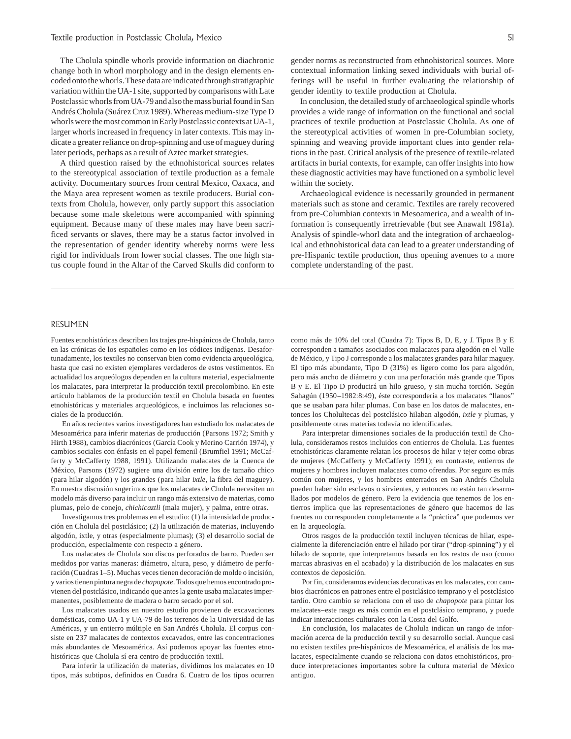The Cholula spindle whorls provide information on diachronic change both in whorl morphology and in the design elements encoded onto the whorls. These data are indicated through stratigraphic variation within the UA-1 site, supported by comparisons with Late Postclassic whorls from UA-79 and also the mass burial found in San Andrés Cholula (Suárez Cruz 1989). Whereas medium-size Type D whorls were the most common in Early Postclassic contexts at UA-1, larger whorls increased in frequency in later contexts. This may indicate a greater reliance on drop-spinning and use of maguey during later periods, perhaps as a result of Aztec market strategies.

A third question raised by the ethnohistorical sources relates to the stereotypical association of textile production as a female activity. Documentary sources from central Mexico, Oaxaca, and the Maya area represent women as textile producers. Burial contexts from Cholula, however, only partly support this association because some male skeletons were accompanied with spinning equipment. Because many of these males may have been sacrificed servants or slaves, there may be a status factor involved in the representation of gender identity whereby norms were less rigid for individuals from lower social classes. The one high status couple found in the Altar of the Carved Skulls did conform to

gender norms as reconstructed from ethnohistorical sources. More contextual information linking sexed individuals with burial offerings will be useful in further evaluating the relationship of gender identity to textile production at Cholula.

In conclusion, the detailed study of archaeological spindle whorls provides a wide range of information on the functional and social practices of textile production at Postclassic Cholula. As one of the stereotypical activities of women in pre-Columbian society, spinning and weaving provide important clues into gender relations in the past. Critical analysis of the presence of textile-related artifacts in burial contexts, for example, can offer insights into how these diagnostic activities may have functioned on a symbolic level within the society.

Archaeological evidence is necessarily grounded in permanent materials such as stone and ceramic. Textiles are rarely recovered from pre-Columbian contexts in Mesoamerica, and a wealth of information is consequently irretrievable (but see Anawalt 1981a). Analysis of spindle-whorl data and the integration of archaeological and ethnohistorical data can lead to a greater understanding of pre-Hispanic textile production, thus opening avenues to a more complete understanding of the past.

#### RESUMEN

Fuentes etnohistóricas describen los trajes pre-hispánicos de Cholula, tanto en las crónicas de los españoles como en los códices indígenas. Desafortunadamente, los textiles no conservan bien como evidencia arqueológica, hasta que casi no existen ejemplares verdaderos de estos vestimentos. En actualidad los arqueólogos dependen en la cultura material, especialmente los malacates, para interpretar la producción textil precolombino. En este artículo hablamos de la producción textil en Cholula basada en fuentes etnohistóricas y materiales arqueológicos, e incluimos las relaciones sociales de la producción.

En años recientes varios investigadores han estudiado los malacates de Mesoamérica para inferir materias de producción (Parsons 1972; Smith y Hirth 1988), cambios diacrónicos (García Cook y Merino Carrión 1974), y cambios sociales con énfasis en el papel femenil (Brumfiel 1991; McCafferty y McCafferty 1988, 1991). Utilizando malacates de la Cuenca de México, Parsons (1972) sugiere una división entre los de tamaño chico (para hilar algodón) y los grandes (para hilar *ixtle*, la fibra del maguey). En nuestra discusión sugerimos que los malacates de Cholula necesiten un modelo más diverso para incluir un rango más extensivo de materias, como plumas, pelo de conejo, *chichicaztli* (mala mujer), y palma, entre otras.

Investigamos tres problemas en el estudio: (1) la intensidad de producción en Cholula del postclásico; (2) la utilización de materias, incluyendo algodón, ixtle, y otras (especialmente plumas); (3) el desarrollo social de producción, especialmente con respecto a género.

Los malacates de Cholula son discos perforados de barro. Pueden ser medidos por varias maneras: diámetro, altura, peso, y diámetro de perforación (Cuadras 1–5). Muchas veces tienen decoración de molde o incisión, y varios tienen pintura negra de *chapopote*. Todos que hemos encontrado provienen del postclásico, indicando que antes la gente usaba malacates impermanentes, posiblemente de madera o barro secado por el sol.

Los malacates usados en nuestro estudio provienen de excavaciones domésticas, como UA-1 y UA-79 de los terrenos de la Universidad de las Américas, y un entierro múltiple en San Andrés Cholula. El corpus consiste en 237 malacates de contextos excavados, entre las concentraciones más abundantes de Mesoamérica. Así podemos apoyar las fuentes etnohistóricas que Cholula sí era centro de producción textil.

Para inferir la utilización de materias, dividimos los malacates en 10 tipos, más subtipos, definidos en Cuadra 6. Cuatro de los tipos ocurren

como más de 10% del total (Cuadra 7): Tipos B, D, E, y J. Tipos B y E corresponden a tamaños asociados con malacates para algodón en el Valle de México, y Tipo J corresponde a los malacates grandes para hilar maguey. El tipo más abundante, Tipo D (31%) es ligero como los para algodón, pero más ancho de diámetro y con una perforación más grande que Tipos B y E. El Tipo D producirá un hilo grueso, y sin mucha torción. Según Sahagún (1950–1982:8:49), éste correspondería a los malacates "llanos" que se usaban para hilar plumas. Con base en los datos de malacates, entonces los Cholultecas del postclásico hilaban algodón, *ixtle* y plumas, y posiblemente otras materias todavía no identificadas.

Para interpretar dimensiones sociales de la producción textil de Cholula, consideramos restos incluidos con entierros de Cholula. Las fuentes etnohistóricas claramente relatan los procesos de hilar y tejer como obras de mujeres (McCafferty y McCafferty 1991); en contraste, entierros de mujeres y hombres incluyen malacates como ofrendas. Por seguro es más común con mujeres, y los hombres enterrados en San Andrés Cholula pueden haber sido esclavos o sirvientes, y entonces no están tan desarrollados por modelos de género. Pero la evidencia que tenemos de los entierros implica que las representaciones de género que hacemos de las fuentes no corresponden completamente a la "práctica" que podemos ver en la arqueología.

Otros rasgos de la producción textil incluyen técnicas de hilar, especialmente la diferenciación entre el hilado por tirar ("drop-spinning") y el hilado de soporte, que interpretamos basada en los restos de uso (como marcas abrasivas en el acabado) y la distribución de los malacates en sus contextos de deposición.

Por fin, consideramos evidencias decorativas en los malacates, con cambios diacrónicos en patrones entre el postclásico temprano y el postclásico tardío. Otro cambio se relaciona con el uso de *chapopote* para pintar los malacates–este rasgo es más común en el postclásico temprano, y puede indicar interacciones culturales con la Costa del Golfo.

En conclusión, los malacates de Cholula indican un rango de información acerca de la producción textil y su desarrollo social. Aunque casi no existen textiles pre-hispánicos de Mesoamérica, el análisis de los malacates, especialmente cuando se relaciona con datos etnohistóricos, produce interpretaciones importantes sobre la cultura material de México antiguo.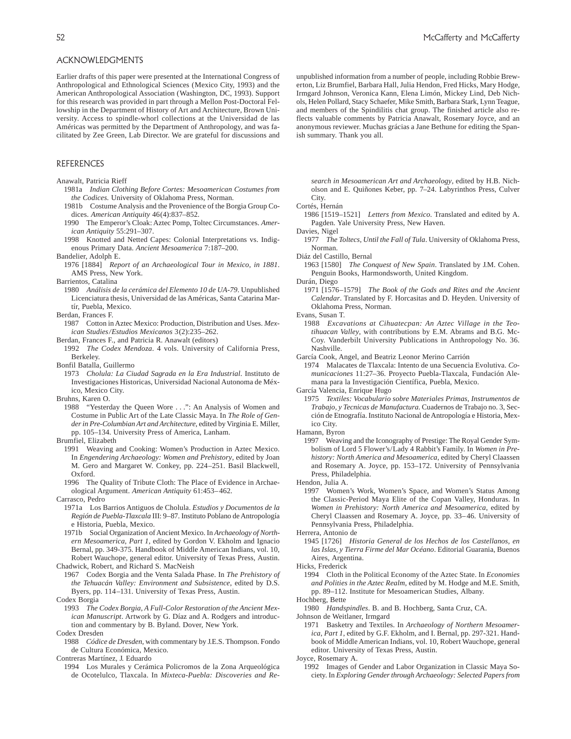#### ACKNOWLEDGMENTS

Earlier drafts of this paper were presented at the International Congress of Anthropological and Ethnological Sciences (Mexico City, 1993) and the American Anthropological Association (Washington, DC, 1993). Support for this research was provided in part through a Mellon Post-Doctoral Fellowship in the Department of History of Art and Architecture, Brown University. Access to spindle-whorl collections at the Universidad de las Américas was permitted by the Department of Anthropology, and was facilitated by Zee Green, Lab Director. We are grateful for discussions and

#### REFERENCES

Anawalt, Patricia Rieff

- 1981a *Indian Clothing Before Cortes: Mesoamerican Costumes from the Codices.* University of Oklahoma Press, Norman.
- 1981b Costume Analysis and the Provenience of the Borgia Group Codices. *American Antiquity* 46(4):837–852.
- 1990 The Emperor's Cloak: Aztec Pomp, Toltec Circumstances. *American Antiquity* 55:291–307.
- 1998 Knotted and Netted Capes: Colonial Interpretations vs. Indigenous Primary Data. *Ancient Mesoamerica* 7:187–200.
- Bandelier, Adolph E.
	- 1976 [1884] *Report of an Archaeological Tour in Mexico, in 1881*. AMS Press, New York.
- Barrientos, Catalina
- 1980 *Análisis de la cerámica del Elemento 10 de UA-79*. Unpublished Licenciatura thesis, Universidad de las Américas, Santa Catarina Martír, Puebla, Mexico.
- Berdan, Frances F.
- 1987 Cotton in Aztec Mexico: Production, Distribution and Uses. *Mexican Studies/Estudios Mexicanos* 3(2):235–262.
- Berdan, Frances F., and Patricia R. Anawalt (editors)
- 1992 *The Codex Mendoza*. 4 vols. University of California Press, Berkeley.
- Bonfil Batalla, Guillermo
	- 1973 *Cholula: La Ciudad Sagrada en la Era Industrial*. Instituto de Investigaciones Historicas, Universidad Nacional Autonoma de México, Mexico City.
- Bruhns, Karen O.
- 1988 "Yesterday the Queen Wore . . .": An Analysis of Women and Costume in Public Art of the Late Classic Maya. In *The Role of Gender in Pre-Columbian Art and Architecture*, edited by Virginia E. Miller, pp. 105–134. University Press of America, Lanham.

Brumfiel, Elizabeth

- 1991 Weaving and Cooking: Women's Production in Aztec Mexico. In *Engendering Archaeology: Women and Prehistory*, edited by Joan M. Gero and Margaret W. Conkey, pp. 224–251. Basil Blackwell, Oxford.
- 1996 The Quality of Tribute Cloth: The Place of Evidence in Archaeological Argument. *American Antiquity* 61:453–462.
- Carrasco, Pedro
	- 1971a Los Barrios Antiguos de Cholula. *Estudios y Documentos de la Región de Puebla-Tlaxcala* III: 9–87. Instituto Poblano de Antropología e Historia, Puebla, Mexico.
	- 1971b Social Organization of Ancient Mexico. In *Archaeology of Northern Mesoamerica, Part 1*, edited by Gordon V. Ekholm and Ignacio Bernal, pp. 349-375. Handbook of Middle American Indians, vol. 10, Robert Wauchope, general editor. University of Texas Press, Austin.
- Chadwick, Robert, and Richard S. MacNeish
- 1967 Codex Borgia and the Venta Salada Phase. In *The Prehistory of the Tehuacán Valley: Environment and Subsistence*, edited by D.S. Byers, pp. 114–131. University of Texas Press, Austin.

Codex Borgia

- 1993 *The Codex Borgia, A Full-Color Restoration of the Ancient Mexican Manuscript*. Artwork by G. Díaz and A. Rodgers and introduction and commentary by B. Byland. Dover, New York.
- Codex Dresden
- 1988 *Códice de Dresden*, with commentary by J.E.S. Thompson. Fondo de Cultura Económica, Mexico.

Contreras Martínez, J. Eduardo

1994 Los Murales y Cerámica Policromos de la Zona Arqueológica de Ocotelulco, Tlaxcala. In *Mixteca-Puebla: Discoveries and Re-* unpublished information from a number of people, including Robbie Brewerton, Liz Brumfiel, Barbara Hall, Julia Hendon, Fred Hicks, Mary Hodge, Irmgard Johnson, Veronica Kann, Elena Limón, Mickey Lind, Deb Nichols, Helen Pollard, Stacy Schaefer, Mike Smith, Barbara Stark, Lynn Teague, and members of the Spindilitis chat group. The finished article also reflects valuable comments by Patricia Anawalt, Rosemary Joyce, and an anonymous reviewer. Muchas grácias a Jane Bethune for editing the Spanish summary. Thank you all.

*search in Mesoamerican Art and Archaeology*, edited by H.B. Nicholson and E. Quiñones Keber, pp. 7–24. Labyrinthos Press, Culver City.

#### Cortés, Hernán

1986 [1519–1521] *Letters from Mexico*. Translated and edited by A. Pagden. Yale University Press, New Haven.

Davies, Nigel

- 1977 *The Toltecs, Until the Fall of Tula*. University of Oklahoma Press, Norman.
- Diáz del Castillo, Bernal
	- 1963 [1580] *The Conquest of New Spain*. Translated by J.M. Cohen. Penguin Books, Harmondsworth, United Kingdom.

Durán, Diego

- 1971 [1576–1579] *The Book of the Gods and Rites and the Ancient Calendar*. Translated by F. Horcasitas and D. Heyden. University of Oklahoma Press, Norman.
- Evans, Susan T.
	- 1988 *Excavations at Cihuatecpan: An Aztec Village in the Teotihuacan Valley*, with contributions by E.M. Abrams and B.G. Mc-Coy. Vanderbilt University Publications in Anthropology No. 36. Nashville.
- García Cook, Angel, and Beatriz Leonor Merino Carrión
- 1974 Malacates de Tlaxcala: Intento de una Secuencia Evolutiva. *Comunicaciones* 11:27–36. Proyecto Puebla-Tlaxcala, Fundación Alemana para la Investigación Científica, Puebla, Mexico.

García Valencia, Enrique Hugo

- 1975 *Textiles: Vocabulario sobre Materiales Primas, Instrumentos de Trabajo, y Tecnicas de Manufactura*. Cuadernos de Trabajo no. 3, Sección de Etnografía. Instituto Nacional de Antropología e Historia, Mexico City.
- Hamann, Byron
	- 1997 Weaving and the Iconography of Prestige: The Royal Gender Symbolism of Lord 5 Flower's/Lady 4 Rabbit's Family. In *Women in Prehistory: North America and Mesoamerica*, edited by Cheryl Claassen and Rosemary A. Joyce, pp. 153–172. University of Pennsylvania Press, Philadelphia.
- Hendon, Julia A.
	- 1997 Women's Work, Women's Space, and Women's Status Among the Classic-Period Maya Elite of the Copan Valley, Honduras. In *Women in Prehistory: North America and Mesoamerica*, edited by Cheryl Claassen and Rosemary A. Joyce, pp. 33–46. University of Pennsylvania Press, Philadelphia.

- 1945 [1726] *Historia General de los Hechos de los Castellanos, en las Islas, y Tierra Firme del Mar Océano*. Editorial Guarania, Buenos Aires, Argentina.
- Hicks, Frederick
	- 1994 Cloth in the Political Economy of the Aztec State. In *Economies and Polities in the Aztec Realm*, edited by M. Hodge and M.E. Smith, pp. 89–112. Institute for Mesoamerican Studies, Albany.

Hochberg, Bette

1980 *Handspindles*. B. and B. Hochberg, Santa Cruz, CA.

Johnson de Weitlaner, Irmgard

1971 Basketry and Textiles. In *Archaeology of Northern Mesoamerica, Part 1*, edited by G.F. Ekholm, and I. Bernal, pp. 297-321. Handbook of Middle American Indians, vol. 10, Robert Wauchope, general editor*.* University of Texas Press, Austin.

Joyce, Rosemary A.

1992 Images of Gender and Labor Organization in Classic Maya Society. In *Exploring Gender through Archaeology: Selected Papers from*

Herrera, Antonio de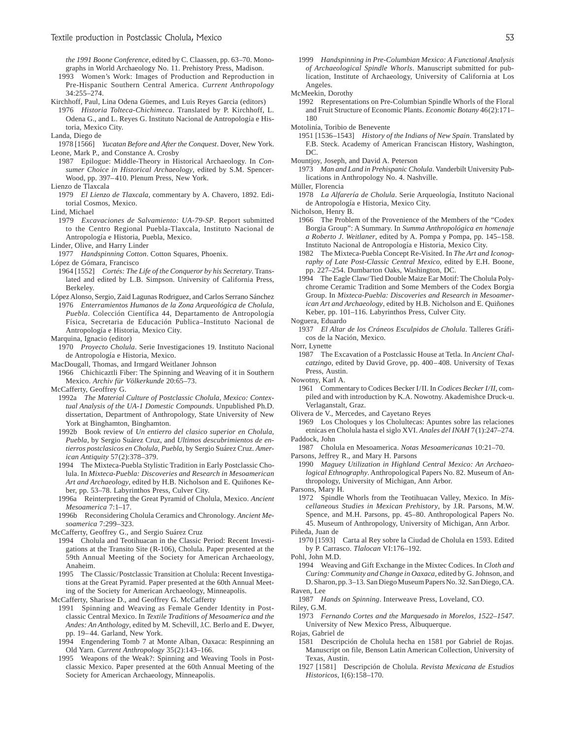*the 1991 Boone Conference*, edited by C. Claassen, pp. 63–70. Monographs in World Archaeology No. 11. Prehistory Press, Madison.

- 1993 Women's Work: Images of Production and Reproduction in Pre-Hispanic Southern Central America. *Current Anthropology* 34:255–274.
- Kirchhoff, Paul, Lina Odena Güemes, and Luis Reyes Garcia (editors)
- 1976 *Historia Tolteca-Chichimeca*. Translated by P. Kirchhoff, L. Odena G., and L. Reyes G. Instituto Nacional de Antropología e Historia, Mexico City.
- Landa, Diego de
- 1978 [1566] *Yucatan Before and After the Conquest*. Dover, New York. Leone, Mark P., and Constance A. Crosby
- 1987 Epilogue: Middle-Theory in Historical Archaeology. In *Consumer Choice in Historical Archaeology*, edited by S.M. Spencer-Wood, pp. 397– 410. Plenum Press, New York.
- Lienzo de Tlaxcala
- 1979 *El Lienzo de Tlaxcala*, commentary by A. Chavero, 1892. Editorial Cosmos, Mexico.
- Lind, Michael
	- 1979 *Excavaciones de Salvamiento: UA-79-SP*. Report submitted to the Centro Regional Puebla-Tlaxcala, Instituto Nacional de Antropología e Historia, Puebla, Mexico.
- Linder, Olive, and Harry Linder
- 1977 *Handspinning Cotton*. Cotton Squares, Phoenix.
- López de Gómara, Francisco
- 1964 [1552] *Cortés: The Life of the Conqueror by his Secretary*. Translated and edited by L.B. Simpson. University of California Press, Berkeley.
- López Alonso, Sergio, Zaid Lagunas Rodriguez, and Carlos Serrano Sánchez 1976 *Enterramientos Humanos de la Zona Arqueológica de Cholula, Puebla*. Colección Científica 44, Departamento de Antropología Física, Secretaria de Educación Publica–Instituto Nacional de Antropología e Historia, Mexico City.
- Marquina, Ignacio (editor)
- 1970 *Proyecto Cholula*. Serie Investigaciones 19. Instituto Nacional de Antropología e Historia, Mexico.
- MacDougall, Thomas, and Irmgard Weitlaner Johnson
- 1966 Chichicaztli Fiber: The Spinning and Weaving of it in Southern Mexico. *Archiv für Völkerkunde* 20:65–73.
- McCafferty, Geoffrey G.
	- 1992a *The Material Culture of Postclassic Cholula, Mexico: Contextual Analysis of the UA-1 Domestic Compounds*. Unpublished Ph.D. dissertation, Department of Anthropology, State University of New York at Binghamton, Binghamton.
	- 1992b Book review of *Un entierro del clasico superior en Cholula, Puebla*, by Sergio Suárez Cruz, and *Ultimos descubrimientos de entierros postclasicos en Cholula, Puebla*, by Sergio Suárez Cruz. *American Antiquity* 57(2):378–379.
	- 1994 The Mixteca-Puebla Stylistic Tradition in Early Postclassic Cholula. In *Mixteca-Puebla: Discoveries and Research in Mesoamerican Art and Archaeology*, edited by H.B. Nicholson and E. Quiñones Keber, pp. 53–78. Labyrinthos Press, Culver City.
	- 1996a Reinterpreting the Great Pyramid of Cholula, Mexico. *Ancient Mesoamerica* 7:1–17.
	- 1996b Reconsidering Cholula Ceramics and Chronology. *Ancient Mesoamerica* 7:299–323.
- McCafferty, Geoffrey G., and Sergio Suárez Cruz
	- 1994 Cholula and Teotihuacan in the Classic Period: Recent Investigations at the Transito Site (R-106), Cholula. Paper presented at the 59th Annual Meeting of the Society for American Archaeology, Anaheim.
	- 1995 The Classic/Postclassic Transition at Cholula: Recent Investigations at the Great Pyramid. Paper presented at the 60th Annual Meeting of the Society for American Archaeology, Minneapolis.
- McCafferty, Sharisse D., and Geoffrey G. McCafferty
	- 1991 Spinning and Weaving as Female Gender Identity in Postclassic Central Mexico. In *Textile Traditions of Mesoamerica and the Andes: An Anthology*, edited by M. Schevill, J.C. Berlo and E. Dwyer, pp. 19– 44. Garland, New York.
	- 1994 Engendering Tomb 7 at Monte Alban, Oaxaca: Respinning an Old Yarn. *Current Anthropology* 35(2):143–166.
	- 1995 Weapons of the Weak?: Spinning and Weaving Tools in Postclassic Mexico. Paper presented at the 60th Annual Meeting of the Society for American Archaeology, Minneapolis.
- 1999 *Handspinning in Pre-Columbian Mexico: A Functional Analysis of Archaeological Spindle Whorls*. Manuscript submitted for publication, Institute of Archaeology, University of California at Los Angeles.
- McMeekin, Dorothy
	- 1992 Representations on Pre-Columbian Spindle Whorls of the Floral and Fruit Structure of Economic Plants. *Economic Botany* 46(2):171– 180
- Motolinía, Toribio de Benevente
- 1951 [1536–1543] *History of the Indians of New Spain*. Translated by F.B. Steck. Academy of American Franciscan History, Washington, DC.
- Mountjoy, Joseph, and David A. Peterson
- 1973 *Man and Land in Prehispanic Cholula*. Vanderbilt University Publications in Anthropology No. 4. Nashville.
- Müller, Florencia
- 1978 *La Alfarería de Cholula*. Serie Arqueología, Instituto Nacional de Antropología e Historia, Mexico City.
- Nicholson, Henry B.
	- 1966 The Problem of the Provenience of the Members of the "Codex Borgia Group": A Summary. In *Summa Anthropológica en homenaje a Roberto J. Weitlaner*, edited by A. Pompa y Pompa, pp. 145–158. Instituto Nacional de Antropología e Historia, Mexico City.
	- 1982 The Mixteca-Puebla Concept Re-Visited. In *The Art and Iconography of Late Post-Classic Central Mexico*, edited by E.H. Boone, pp. 227–254. Dumbarton Oaks, Washington, DC.
	- 1994 The Eagle Claw/Tied Double Maize Ear Motif: The Cholula Polychrome Ceramic Tradition and Some Members of the Codex Borgia Group. In *Mixteca-Puebla: Discoveries and Research in Mesoamerican Art and Archaeology*, edited by H.B. Nicholson and E. Quiñones Keber, pp. 101–116. Labyrinthos Press, Culver City.
- Noguera, Eduardo
- 1937 *El Altar de los Cráneos Esculpidos de Cholula*. Talleres Gráficos de la Nación, Mexico.
- Norr, Lynette
	- 1987 The Excavation of a Postclassic House at Tetla. In *Ancient Chalcatzingo*, edited by David Grove, pp. 400– 408. University of Texas Press, Austin.
- Nowotny, Karl A.
	- 1961 Commentary to Codices Becker I/II. In *Codices Becker I/II*, compiled and with introduction by K.A. Nowotny. Akademishce Druck-u. Verlaganstalt, Graz.
- Olivera de V., Mercedes, and Cayetano Reyes
- 1969 Los Choloques y los Cholultecas: Apuntes sobre las relaciones etnicas en Cholula hasta el siglo XVI. *Anales del INAH* 7(1):247–274. Paddock, John
- 1987 Cholula en Mesoamerica. *Notas Mesoamericanas* 10:21–70.
- Parsons, Jeffrey R., and Mary H. Parsons 1990 *Maguey Utilization in Highland Central Mexico: An Archaeological Ethnography*. Anthropological Papers No. 82. Museum of Anthropology, University of Michigan, Ann Arbor.
- Parsons, Mary H.
	- 1972 Spindle Whorls from the Teotihuacan Valley, Mexico. In *Miscellaneous Studies in Mexican Prehistory*, by J.R. Parsons, M.W. Spence, and M.H. Parsons, pp. 45–80. Anthropological Papers No. 45. Museum of Anthropology, University of Michigan, Ann Arbor.
- Piñeda, Juan de
	- 1970 [1593] Carta al Rey sobre la Ciudad de Cholula en 1593. Edited by P. Carrasco. *Tlalocan* VI:176–192.
- Pohl, John M.D.
- 1994 Weaving and Gift Exchange in the Mixtec Codices. In *Cloth and Curing: Community and Change in Oaxaca*, edited by G. Johnson, and D. Sharon, pp. 3–13. San Diego Museum Papers No. 32. San Diego, CA. Raven, Lee
- 1987 *Hands on Spinning*. Interweave Press, Loveland, CO.

Riley, G.M.

- 1973 *Fernando Cortes and the Marquesado in Morelos, 1522–1547*. University of New Mexico Press, Albuquerque.
- Rojas, Gabriel de
	- 1581 Descripción de Cholula hecha en 1581 por Gabriel de Rojas. Manuscript on file, Benson Latin American Collection, University of Texas, Austin.
	- 1927 [1581] Descripción de Cholula. *Revista Mexicana de Estudios Historicos*, I(6):158–170.